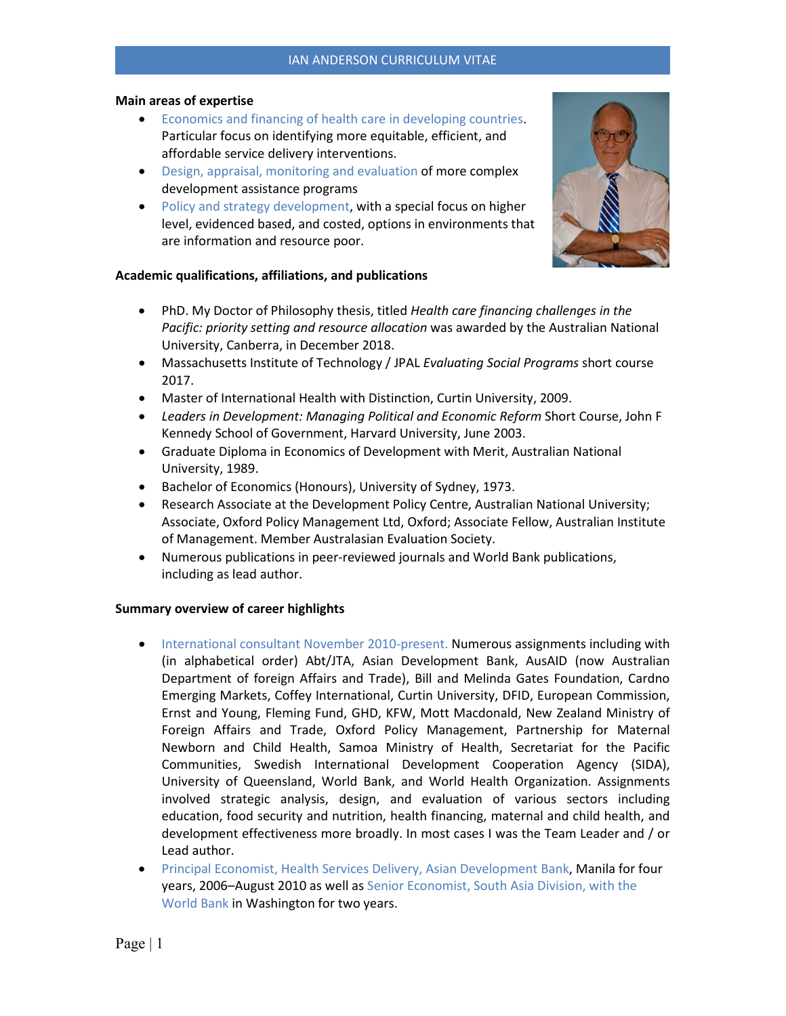#### **Main areas of expertise**

- Economics and financing of health care in developing countries. Particular focus on identifying more equitable, efficient, and affordable service delivery interventions.
- Design, appraisal, monitoring and evaluation of more complex development assistance programs
- Policy and strategy development, with a special focus on higher level, evidenced based, and costed, options in environments that are information and resource poor.

### **Academic qualifications, affiliations, and publications**

- PhD. My Doctor of Philosophy thesis, titled *Health care financing challenges in the Pacific: priority setting and resource allocation* was awarded by the Australian National University, Canberra, in December 2018.
- Massachusetts Institute of Technology / JPAL *Evaluating Social Programs* short course 2017.
- Master of International Health with Distinction, Curtin University, 2009.
- *Leaders in Development: Managing Political and Economic Reform* Short Course, John F Kennedy School of Government, Harvard University, June 2003.
- Graduate Diploma in Economics of Development with Merit, Australian National University, 1989.
- Bachelor of Economics (Honours), University of Sydney, 1973.
- Research Associate at the Development Policy Centre, Australian National University; Associate, Oxford Policy Management Ltd, Oxford; Associate Fellow, Australian Institute of Management. Member Australasian Evaluation Society.
- Numerous publications in peer-reviewed journals and World Bank publications, including as lead author.

### **Summary overview of career highlights**

- International consultant November 2010-present. Numerous assignments including with (in alphabetical order) Abt/JTA, Asian Development Bank, AusAID (now Australian Department of foreign Affairs and Trade), Bill and Melinda Gates Foundation, Cardno Emerging Markets, Coffey International, Curtin University, DFID, European Commission, Ernst and Young, Fleming Fund, GHD, KFW, Mott Macdonald, New Zealand Ministry of Foreign Affairs and Trade, Oxford Policy Management, Partnership for Maternal Newborn and Child Health, Samoa Ministry of Health, Secretariat for the Pacific Communities, Swedish International Development Cooperation Agency (SIDA), University of Queensland, World Bank, and World Health Organization. Assignments involved strategic analysis, design, and evaluation of various sectors including education, food security and nutrition, health financing, maternal and child health, and development effectiveness more broadly. In most cases I was the Team Leader and / or Lead author.
- Principal Economist, Health Services Delivery, Asian Development Bank, Manila for four years, 2006–August 2010 as well as Senior Economist, South Asia Division, with the World Bank in Washington for two years.

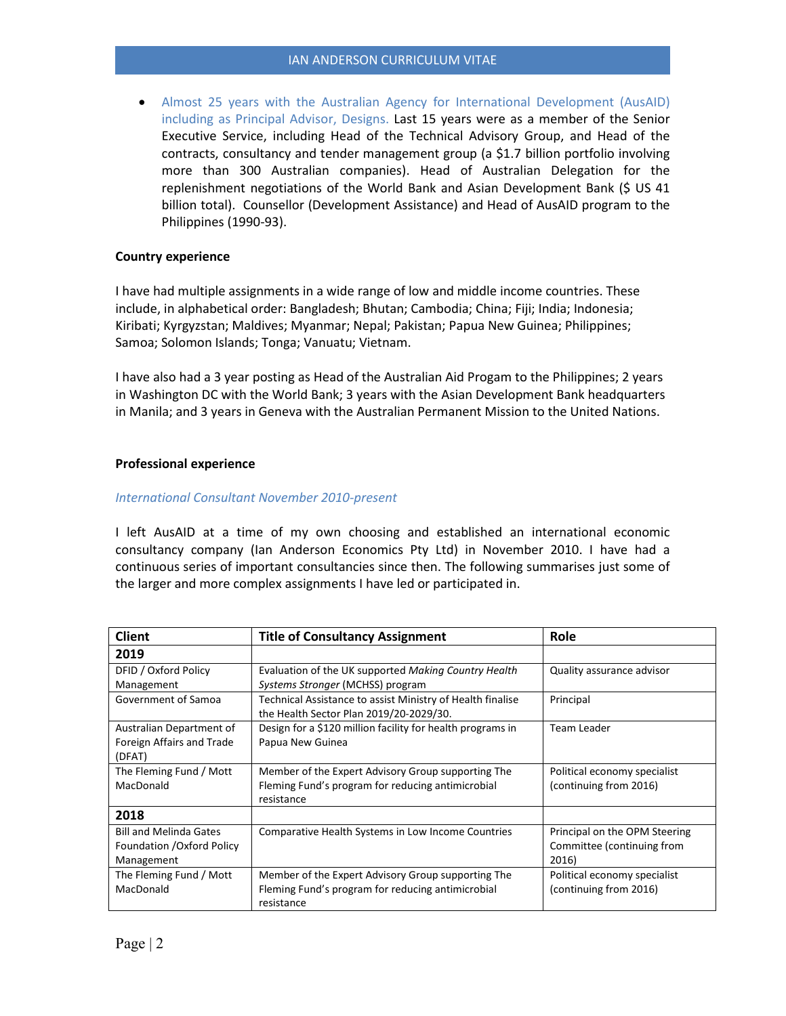• Almost 25 years with the Australian Agency for International Development (AusAID) including as Principal Advisor, Designs. Last 15 years were as a member of the Senior Executive Service, including Head of the Technical Advisory Group, and Head of the contracts, consultancy and tender management group (a \$1.7 billion portfolio involving more than 300 Australian companies). Head of Australian Delegation for the replenishment negotiations of the World Bank and Asian Development Bank (\$ US 41 billion total). Counsellor (Development Assistance) and Head of AusAID program to the Philippines (1990-93).

### **Country experience**

I have had multiple assignments in a wide range of low and middle income countries. These include, in alphabetical order: Bangladesh; Bhutan; Cambodia; China; Fiji; India; Indonesia; Kiribati; Kyrgyzstan; Maldives; Myanmar; Nepal; Pakistan; Papua New Guinea; Philippines; Samoa; Solomon Islands; Tonga; Vanuatu; Vietnam.

I have also had a 3 year posting as Head of the Australian Aid Progam to the Philippines; 2 years in Washington DC with the World Bank; 3 years with the Asian Development Bank headquarters in Manila; and 3 years in Geneva with the Australian Permanent Mission to the United Nations.

### **Professional experience**

### *International Consultant November 2010-present*

I left AusAID at a time of my own choosing and established an international economic consultancy company (Ian Anderson Economics Pty Ltd) in November 2010. I have had a continuous series of important consultancies since then. The following summarises just some of the larger and more complex assignments I have led or participated in.

| <b>Client</b>                                                             | <b>Title of Consultancy Assignment</b>                                                                                | Role                                                                 |
|---------------------------------------------------------------------------|-----------------------------------------------------------------------------------------------------------------------|----------------------------------------------------------------------|
| 2019                                                                      |                                                                                                                       |                                                                      |
| DFID / Oxford Policy<br>Management                                        | Evaluation of the UK supported Making Country Health<br>Systems Stronger (MCHSS) program                              | Quality assurance advisor                                            |
| Government of Samoa                                                       | Technical Assistance to assist Ministry of Health finalise<br>the Health Sector Plan 2019/20-2029/30.                 | Principal                                                            |
| Australian Department of<br>Foreign Affairs and Trade<br>(DFAT)           | Design for a \$120 million facility for health programs in<br>Papua New Guinea                                        | Team Leader                                                          |
| The Fleming Fund / Mott<br>MacDonald                                      | Member of the Expert Advisory Group supporting The<br>Fleming Fund's program for reducing antimicrobial<br>resistance | Political economy specialist<br>(continuing from 2016)               |
| 2018                                                                      |                                                                                                                       |                                                                      |
| <b>Bill and Melinda Gates</b><br>Foundation / Oxford Policy<br>Management | Comparative Health Systems in Low Income Countries                                                                    | Principal on the OPM Steering<br>Committee (continuing from<br>2016) |
| The Fleming Fund / Mott<br>MacDonald                                      | Member of the Expert Advisory Group supporting The<br>Fleming Fund's program for reducing antimicrobial<br>resistance | Political economy specialist<br>(continuing from 2016)               |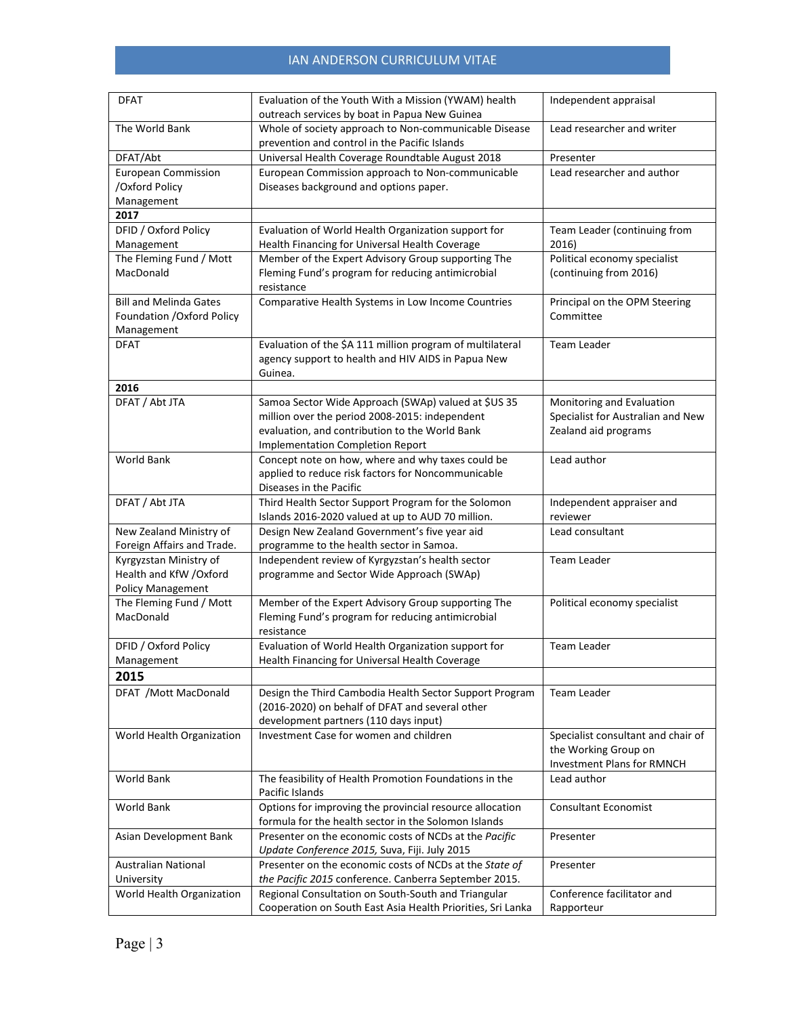| <b>DFAT</b>                   | Evaluation of the Youth With a Mission (YWAM) health                      | Independent appraisal              |
|-------------------------------|---------------------------------------------------------------------------|------------------------------------|
|                               | outreach services by boat in Papua New Guinea                             |                                    |
| The World Bank                | Whole of society approach to Non-communicable Disease                     | Lead researcher and writer         |
|                               | prevention and control in the Pacific Islands                             |                                    |
| DFAT/Abt                      | Universal Health Coverage Roundtable August 2018                          | Presenter                          |
| <b>European Commission</b>    | European Commission approach to Non-communicable                          | Lead researcher and author         |
| /Oxford Policy                | Diseases background and options paper.                                    |                                    |
| Management                    |                                                                           |                                    |
| 2017                          |                                                                           |                                    |
| DFID / Oxford Policy          | Evaluation of World Health Organization support for                       | Team Leader (continuing from       |
| Management                    | Health Financing for Universal Health Coverage                            | 2016)                              |
| The Fleming Fund / Mott       | Member of the Expert Advisory Group supporting The                        | Political economy specialist       |
| MacDonald                     | Fleming Fund's program for reducing antimicrobial<br>resistance           | (continuing from 2016)             |
| <b>Bill and Melinda Gates</b> | Comparative Health Systems in Low Income Countries                        | Principal on the OPM Steering      |
| Foundation / Oxford Policy    |                                                                           | Committee                          |
| Management                    |                                                                           |                                    |
| <b>DFAT</b>                   | Evaluation of the \$A 111 million program of multilateral                 | <b>Team Leader</b>                 |
|                               | agency support to health and HIV AIDS in Papua New                        |                                    |
|                               | Guinea.                                                                   |                                    |
| 2016                          |                                                                           |                                    |
| DFAT / Abt JTA                | Samoa Sector Wide Approach (SWAp) valued at \$US 35                       | Monitoring and Evaluation          |
|                               | million over the period 2008-2015: independent                            | Specialist for Australian and New  |
|                               | evaluation, and contribution to the World Bank                            | Zealand aid programs               |
|                               | <b>Implementation Completion Report</b>                                   |                                    |
| <b>World Bank</b>             | Concept note on how, where and why taxes could be                         | Lead author                        |
|                               | applied to reduce risk factors for Noncommunicable                        |                                    |
|                               | Diseases in the Pacific                                                   |                                    |
| DFAT / Abt JTA                | Third Health Sector Support Program for the Solomon                       | Independent appraiser and          |
|                               | Islands 2016-2020 valued at up to AUD 70 million.                         | reviewer                           |
| New Zealand Ministry of       | Design New Zealand Government's five year aid                             | Lead consultant                    |
| Foreign Affairs and Trade.    | programme to the health sector in Samoa.                                  |                                    |
| Kyrgyzstan Ministry of        | Independent review of Kyrgyzstan's health sector                          | Team Leader                        |
| Health and KfW / Oxford       | programme and Sector Wide Approach (SWAp)                                 |                                    |
| Policy Management             |                                                                           |                                    |
| The Fleming Fund / Mott       | Member of the Expert Advisory Group supporting The                        | Political economy specialist       |
| MacDonald                     | Fleming Fund's program for reducing antimicrobial                         |                                    |
|                               | resistance                                                                |                                    |
| DFID / Oxford Policy          | Evaluation of World Health Organization support for                       | <b>Team Leader</b>                 |
| Management                    | Health Financing for Universal Health Coverage                            |                                    |
| 2015                          |                                                                           |                                    |
| DFAT / Mott MacDonald         | Design the Third Cambodia Health Sector Support Program                   | Team Leader                        |
|                               | (2016-2020) on behalf of DFAT and several other                           |                                    |
|                               | development partners (110 days input)                                     |                                    |
| World Health Organization     | Investment Case for women and children                                    | Specialist consultant and chair of |
|                               |                                                                           | the Working Group on               |
|                               |                                                                           | Investment Plans for RMNCH         |
| World Bank                    | The feasibility of Health Promotion Foundations in the<br>Pacific Islands | Lead author                        |
| World Bank                    | Options for improving the provincial resource allocation                  | <b>Consultant Economist</b>        |
|                               | formula for the health sector in the Solomon Islands                      |                                    |
| Asian Development Bank        | Presenter on the economic costs of NCDs at the Pacific                    | Presenter                          |
|                               | Update Conference 2015, Suva, Fiji. July 2015                             |                                    |
| <b>Australian National</b>    | Presenter on the economic costs of NCDs at the State of                   | Presenter                          |
| University                    | the Pacific 2015 conference. Canberra September 2015.                     |                                    |
| World Health Organization     | Regional Consultation on South-South and Triangular                       | Conference facilitator and         |
|                               | Cooperation on South East Asia Health Priorities, Sri Lanka               | Rapporteur                         |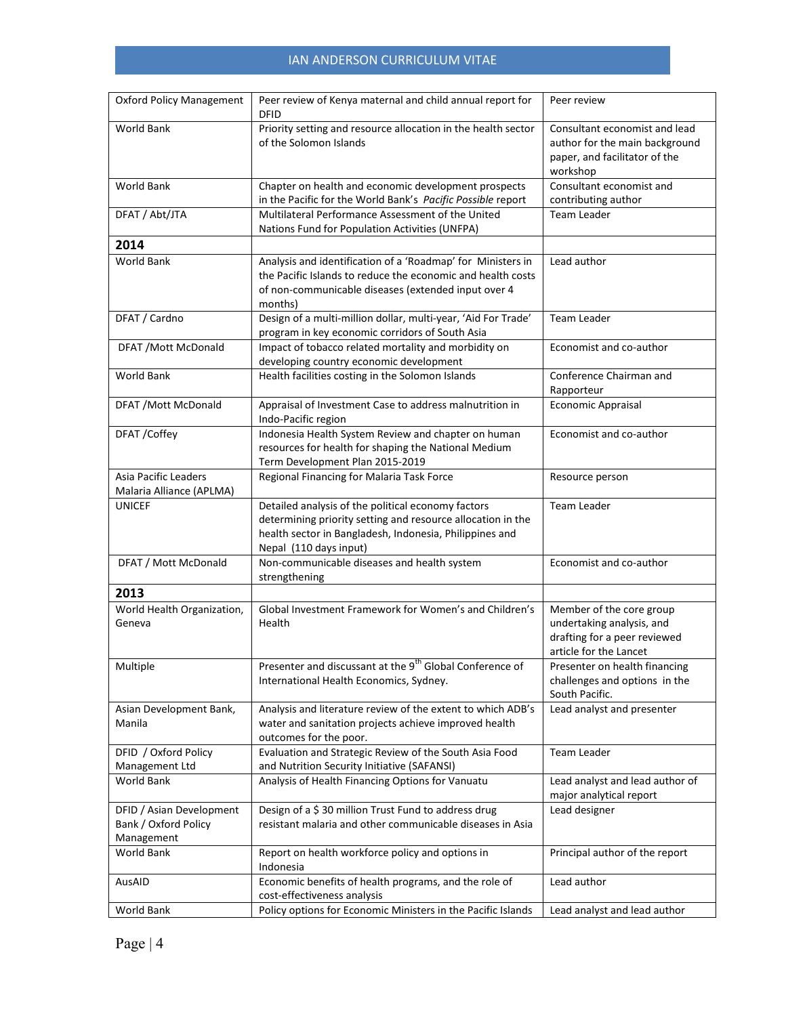| <b>Oxford Policy Management</b>                                | Peer review of Kenya maternal and child annual report for<br><b>DFID</b>                                                                                                                               | Peer review                                                                                                     |
|----------------------------------------------------------------|--------------------------------------------------------------------------------------------------------------------------------------------------------------------------------------------------------|-----------------------------------------------------------------------------------------------------------------|
| <b>World Bank</b>                                              | Priority setting and resource allocation in the health sector<br>of the Solomon Islands                                                                                                                | Consultant economist and lead<br>author for the main background<br>paper, and facilitator of the<br>workshop    |
| World Bank                                                     | Chapter on health and economic development prospects<br>in the Pacific for the World Bank's Pacific Possible report                                                                                    | Consultant economist and<br>contributing author                                                                 |
| DFAT / Abt/JTA                                                 | Multilateral Performance Assessment of the United<br>Nations Fund for Population Activities (UNFPA)                                                                                                    | <b>Team Leader</b>                                                                                              |
| 2014                                                           |                                                                                                                                                                                                        |                                                                                                                 |
| World Bank                                                     | Analysis and identification of a 'Roadmap' for Ministers in<br>the Pacific Islands to reduce the economic and health costs<br>of non-communicable diseases (extended input over 4<br>months)           | Lead author                                                                                                     |
| DFAT / Cardno                                                  | Design of a multi-million dollar, multi-year, 'Aid For Trade'<br>program in key economic corridors of South Asia                                                                                       | <b>Team Leader</b>                                                                                              |
| DFAT / Mott McDonald                                           | Impact of tobacco related mortality and morbidity on<br>developing country economic development                                                                                                        | Economist and co-author                                                                                         |
| <b>World Bank</b>                                              | Health facilities costing in the Solomon Islands                                                                                                                                                       | Conference Chairman and<br>Rapporteur                                                                           |
| DFAT / Mott McDonald                                           | Appraisal of Investment Case to address malnutrition in<br>Indo-Pacific region                                                                                                                         | Economic Appraisal                                                                                              |
| DFAT /Coffey                                                   | Indonesia Health System Review and chapter on human<br>resources for health for shaping the National Medium<br>Term Development Plan 2015-2019                                                         | Economist and co-author                                                                                         |
| <b>Asia Pacific Leaders</b><br>Malaria Alliance (APLMA)        | Regional Financing for Malaria Task Force                                                                                                                                                              | Resource person                                                                                                 |
| <b>UNICEF</b>                                                  | Detailed analysis of the political economy factors<br>determining priority setting and resource allocation in the<br>health sector in Bangladesh, Indonesia, Philippines and<br>Nepal (110 days input) | <b>Team Leader</b>                                                                                              |
| DFAT / Mott McDonald                                           | Non-communicable diseases and health system<br>strengthening                                                                                                                                           | Economist and co-author                                                                                         |
| 2013                                                           |                                                                                                                                                                                                        |                                                                                                                 |
| World Health Organization,<br>Geneva                           | Global Investment Framework for Women's and Children's<br>Health                                                                                                                                       | Member of the core group<br>undertaking analysis, and<br>drafting for a peer reviewed<br>article for the Lancet |
| Multiple                                                       | Presenter and discussant at the 9 <sup>th</sup> Global Conference of<br>International Health Economics, Sydney.                                                                                        | Presenter on health financing<br>challenges and options in the<br>South Pacific.                                |
| Asian Development Bank,<br>Manila                              | Analysis and literature review of the extent to which ADB's<br>water and sanitation projects achieve improved health<br>outcomes for the poor.                                                         | Lead analyst and presenter                                                                                      |
| DFID / Oxford Policy<br>Management Ltd                         | Evaluation and Strategic Review of the South Asia Food<br>and Nutrition Security Initiative (SAFANSI)                                                                                                  | <b>Team Leader</b>                                                                                              |
| <b>World Bank</b>                                              | Analysis of Health Financing Options for Vanuatu                                                                                                                                                       | Lead analyst and lead author of<br>major analytical report                                                      |
| DFID / Asian Development<br>Bank / Oxford Policy<br>Management | Design of a \$30 million Trust Fund to address drug<br>resistant malaria and other communicable diseases in Asia                                                                                       | Lead designer                                                                                                   |
| World Bank                                                     | Report on health workforce policy and options in<br>Indonesia                                                                                                                                          | Principal author of the report                                                                                  |
| AusAID                                                         | Economic benefits of health programs, and the role of<br>cost-effectiveness analysis                                                                                                                   | Lead author                                                                                                     |
| World Bank                                                     | Policy options for Economic Ministers in the Pacific Islands                                                                                                                                           | Lead analyst and lead author                                                                                    |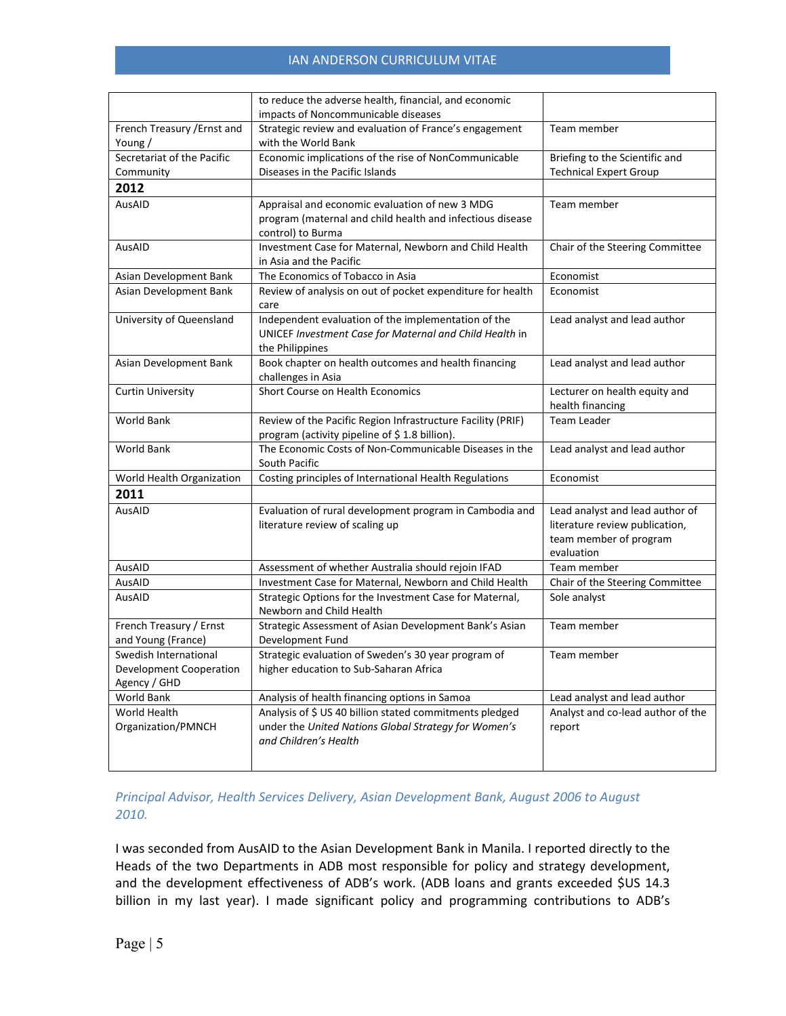|                                       | to reduce the adverse health, financial, and economic                               |                                   |
|---------------------------------------|-------------------------------------------------------------------------------------|-----------------------------------|
|                                       | impacts of Noncommunicable diseases                                                 | Team member                       |
| French Treasury / Ernst and<br>Young/ | Strategic review and evaluation of France's engagement<br>with the World Bank       |                                   |
| Secretariat of the Pacific            | Economic implications of the rise of NonCommunicable                                | Briefing to the Scientific and    |
| Community                             | Diseases in the Pacific Islands                                                     | <b>Technical Expert Group</b>     |
| 2012                                  |                                                                                     |                                   |
| AusAID                                | Appraisal and economic evaluation of new 3 MDG                                      | Team member                       |
|                                       | program (maternal and child health and infectious disease                           |                                   |
|                                       | control) to Burma                                                                   |                                   |
| AusAID                                | Investment Case for Maternal, Newborn and Child Health                              | Chair of the Steering Committee   |
|                                       | in Asia and the Pacific                                                             |                                   |
| Asian Development Bank                | The Economics of Tobacco in Asia                                                    | Economist                         |
| Asian Development Bank                | Review of analysis on out of pocket expenditure for health<br>care                  | Economist                         |
| University of Queensland              | Independent evaluation of the implementation of the                                 | Lead analyst and lead author      |
|                                       | UNICEF Investment Case for Maternal and Child Health in<br>the Philippines          |                                   |
| Asian Development Bank                | Book chapter on health outcomes and health financing                                | Lead analyst and lead author      |
|                                       | challenges in Asia                                                                  |                                   |
| <b>Curtin University</b>              | Short Course on Health Economics                                                    | Lecturer on health equity and     |
|                                       |                                                                                     | health financing                  |
| <b>World Bank</b>                     | Review of the Pacific Region Infrastructure Facility (PRIF)                         | <b>Team Leader</b>                |
|                                       | program (activity pipeline of \$1.8 billion).                                       |                                   |
| World Bank                            | The Economic Costs of Non-Communicable Diseases in the                              | Lead analyst and lead author      |
|                                       | South Pacific                                                                       |                                   |
| World Health Organization             | Costing principles of International Health Regulations                              | Economist                         |
| 2011                                  |                                                                                     |                                   |
| AusAID                                | Evaluation of rural development program in Cambodia and                             | Lead analyst and lead author of   |
|                                       | literature review of scaling up                                                     | literature review publication,    |
|                                       |                                                                                     | team member of program            |
|                                       |                                                                                     | evaluation                        |
| AusAID                                | Assessment of whether Australia should rejoin IFAD                                  | Team member                       |
| AusAID                                | Investment Case for Maternal, Newborn and Child Health                              | Chair of the Steering Committee   |
| AusAID                                | Strategic Options for the Investment Case for Maternal,<br>Newborn and Child Health | Sole analyst                      |
| French Treasury / Ernst               | Strategic Assessment of Asian Development Bank's Asian                              | Team member                       |
| and Young (France)                    | Development Fund                                                                    |                                   |
| Swedish International                 | Strategic evaluation of Sweden's 30 year program of                                 | Team member                       |
| <b>Development Cooperation</b>        | higher education to Sub-Saharan Africa                                              |                                   |
| Agency / GHD                          |                                                                                     |                                   |
| World Bank                            | Analysis of health financing options in Samoa                                       | Lead analyst and lead author      |
| World Health                          | Analysis of \$ US 40 billion stated commitments pledged                             | Analyst and co-lead author of the |
| Organization/PMNCH                    | under the United Nations Global Strategy for Women's                                | report                            |
|                                       | and Children's Health                                                               |                                   |
|                                       |                                                                                     |                                   |

## *Principal Advisor, Health Services Delivery, Asian Development Bank, August 2006 to August 2010.*

I was seconded from AusAID to the Asian Development Bank in Manila. I reported directly to the Heads of the two Departments in ADB most responsible for policy and strategy development, and the development effectiveness of ADB's work. (ADB loans and grants exceeded \$US 14.3 billion in my last year). I made significant policy and programming contributions to ADB's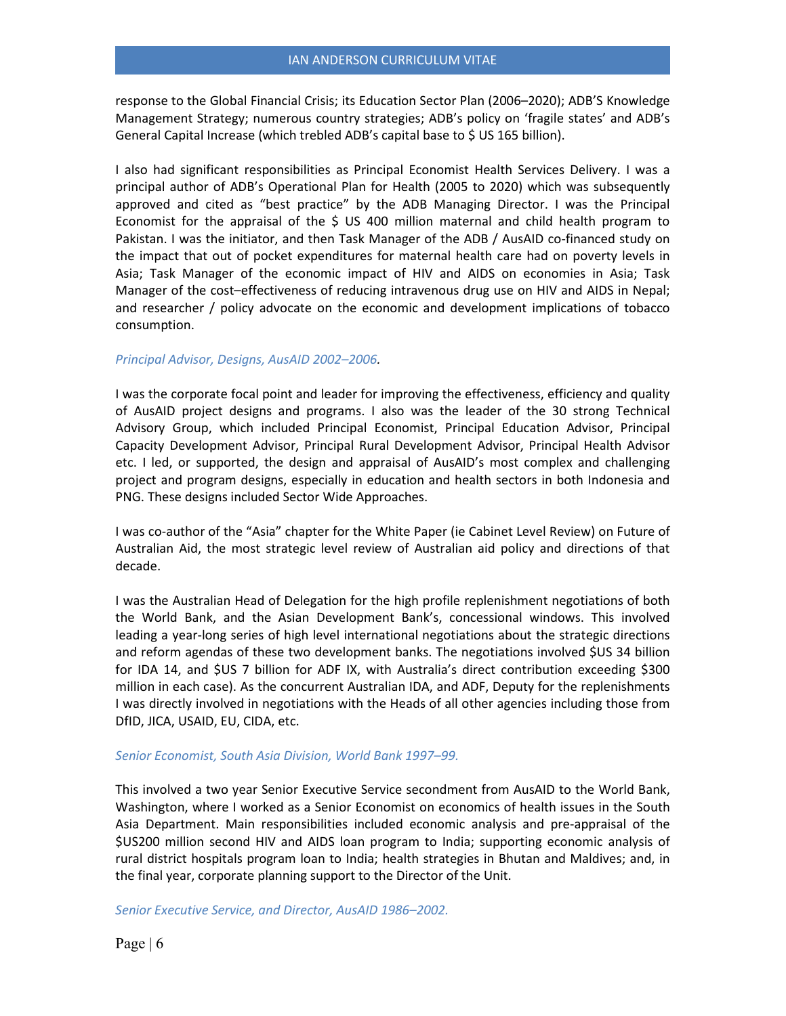response to the Global Financial Crisis; its Education Sector Plan (2006–2020); ADB'S Knowledge Management Strategy; numerous country strategies; ADB's policy on 'fragile states' and ADB's General Capital Increase (which trebled ADB's capital base to \$ US 165 billion).

I also had significant responsibilities as Principal Economist Health Services Delivery. I was a principal author of ADB's Operational Plan for Health (2005 to 2020) which was subsequently approved and cited as "best practice" by the ADB Managing Director. I was the Principal Economist for the appraisal of the \$ US 400 million maternal and child health program to Pakistan. I was the initiator, and then Task Manager of the ADB / AusAID co-financed study on the impact that out of pocket expenditures for maternal health care had on poverty levels in Asia; Task Manager of the economic impact of HIV and AIDS on economies in Asia; Task Manager of the cost–effectiveness of reducing intravenous drug use on HIV and AIDS in Nepal; and researcher / policy advocate on the economic and development implications of tobacco consumption.

### *Principal Advisor, Designs, AusAID 2002–2006.*

I was the corporate focal point and leader for improving the effectiveness, efficiency and quality of AusAID project designs and programs. I also was the leader of the 30 strong Technical Advisory Group, which included Principal Economist, Principal Education Advisor, Principal Capacity Development Advisor, Principal Rural Development Advisor, Principal Health Advisor etc. I led, or supported, the design and appraisal of AusAID's most complex and challenging project and program designs, especially in education and health sectors in both Indonesia and PNG. These designs included Sector Wide Approaches.

I was co-author of the "Asia" chapter for the White Paper (ie Cabinet Level Review) on Future of Australian Aid, the most strategic level review of Australian aid policy and directions of that decade.

I was the Australian Head of Delegation for the high profile replenishment negotiations of both the World Bank, and the Asian Development Bank's, concessional windows. This involved leading a year-long series of high level international negotiations about the strategic directions and reform agendas of these two development banks. The negotiations involved \$US 34 billion for IDA 14, and \$US 7 billion for ADF IX, with Australia's direct contribution exceeding \$300 million in each case). As the concurrent Australian IDA, and ADF, Deputy for the replenishments I was directly involved in negotiations with the Heads of all other agencies including those from DfID, JICA, USAID, EU, CIDA, etc.

### *Senior Economist, South Asia Division, World Bank 1997–99.*

This involved a two year Senior Executive Service secondment from AusAID to the World Bank, Washington, where I worked as a Senior Economist on economics of health issues in the South Asia Department. Main responsibilities included economic analysis and pre-appraisal of the \$US200 million second HIV and AIDS loan program to India; supporting economic analysis of rural district hospitals program loan to India; health strategies in Bhutan and Maldives; and, in the final year, corporate planning support to the Director of the Unit.

*Senior Executive Service, and Director, AusAID 1986–2002.*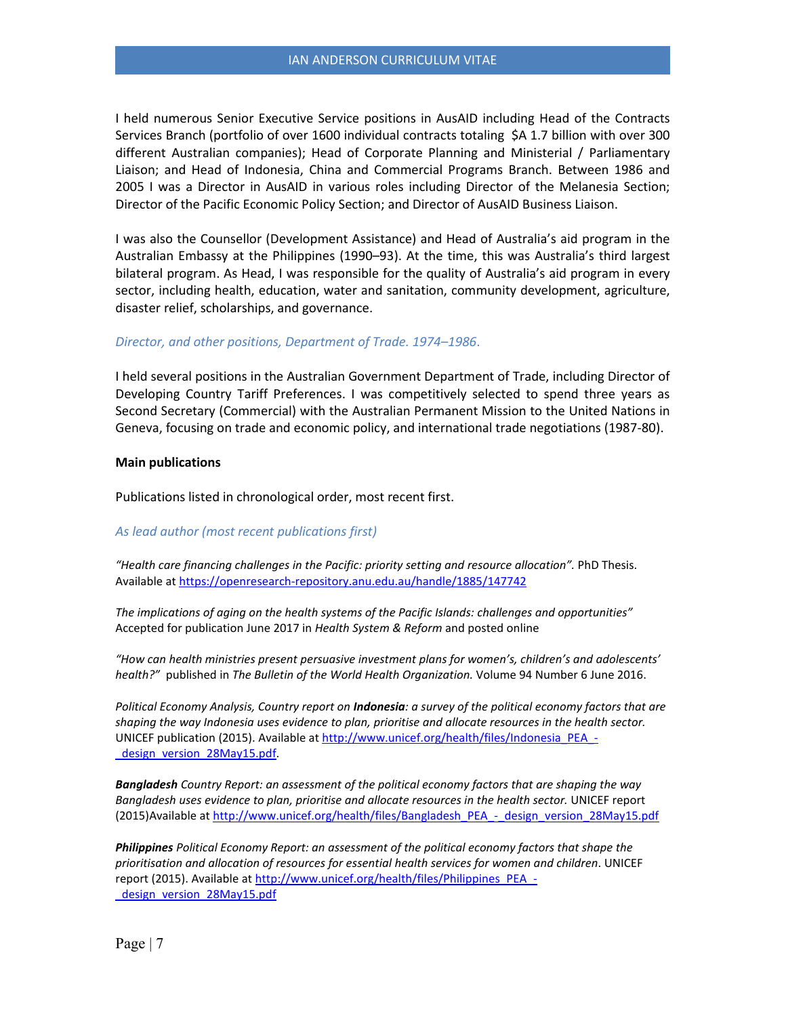I held numerous Senior Executive Service positions in AusAID including Head of the Contracts Services Branch (portfolio of over 1600 individual contracts totaling \$A 1.7 billion with over 300 different Australian companies); Head of Corporate Planning and Ministerial / Parliamentary Liaison; and Head of Indonesia, China and Commercial Programs Branch. Between 1986 and 2005 I was a Director in AusAID in various roles including Director of the Melanesia Section; Director of the Pacific Economic Policy Section; and Director of AusAID Business Liaison.

I was also the Counsellor (Development Assistance) and Head of Australia's aid program in the Australian Embassy at the Philippines (1990–93). At the time, this was Australia's third largest bilateral program. As Head, I was responsible for the quality of Australia's aid program in every sector, including health, education, water and sanitation, community development, agriculture, disaster relief, scholarships, and governance.

### *Director, and other positions, Department of Trade. 1974–1986*.

I held several positions in the Australian Government Department of Trade, including Director of Developing Country Tariff Preferences. I was competitively selected to spend three years as Second Secretary (Commercial) with the Australian Permanent Mission to the United Nations in Geneva, focusing on trade and economic policy, and international trade negotiations (1987-80).

### **Main publications**

Publications listed in chronological order, most recent first.

### *As lead author (most recent publications first)*

*"Health care financing challenges in the Pacific: priority setting and resource allocation".* PhD Thesis. Available a[t https://openresearch-repository.anu.edu.au/handle/1885/147742](https://openresearch-repository.anu.edu.au/handle/1885/147742)

*The implications of aging on the health systems of the Pacific Islands: challenges and opportunities"*  Accepted for publication June 2017 in *Health System & Reform* and posted online

*"How can health ministries present persuasive investment plans for women's, children's and adolescents' health?"* published in *The Bulletin of the World Health Organization.* Volume 94 Number 6 June 2016.

*Political Economy Analysis, Country report on Indonesia: a survey of the political economy factors that are shaping the way Indonesia uses evidence to plan, prioritise and allocate resources in the health sector.*  UNICEF publication (2015). Available at [http://www.unicef.org/health/files/Indonesia\\_PEA\\_](http://www.unicef.org/health/files/Indonesia_PEA_-_design_version_28May15.pdf) design\_version\_28May15.pdf.

*Bangladesh Country Report: an assessment of the political economy factors that are shaping the way*  Bangladesh uses evidence to plan, prioritise and allocate resources in the health sector. UNICEF report (2015)Available at [http://www.unicef.org/health/files/Bangladesh\\_PEA\\_-\\_design\\_version\\_28May15.pdf](http://www.unicef.org/health/files/Bangladesh_PEA_-_design_version_28May15.pdf)

*Philippines Political Economy Report: an assessment of the political economy factors that shape the prioritisation and allocation of resources for essential health services for women and children*. UNICEF report (2015). Available at [http://www.unicef.org/health/files/Philippines\\_PEA\\_](http://www.unicef.org/health/files/Philippines_PEA_-_design_version_28May15.pdf) design\_version\_28May15.pdf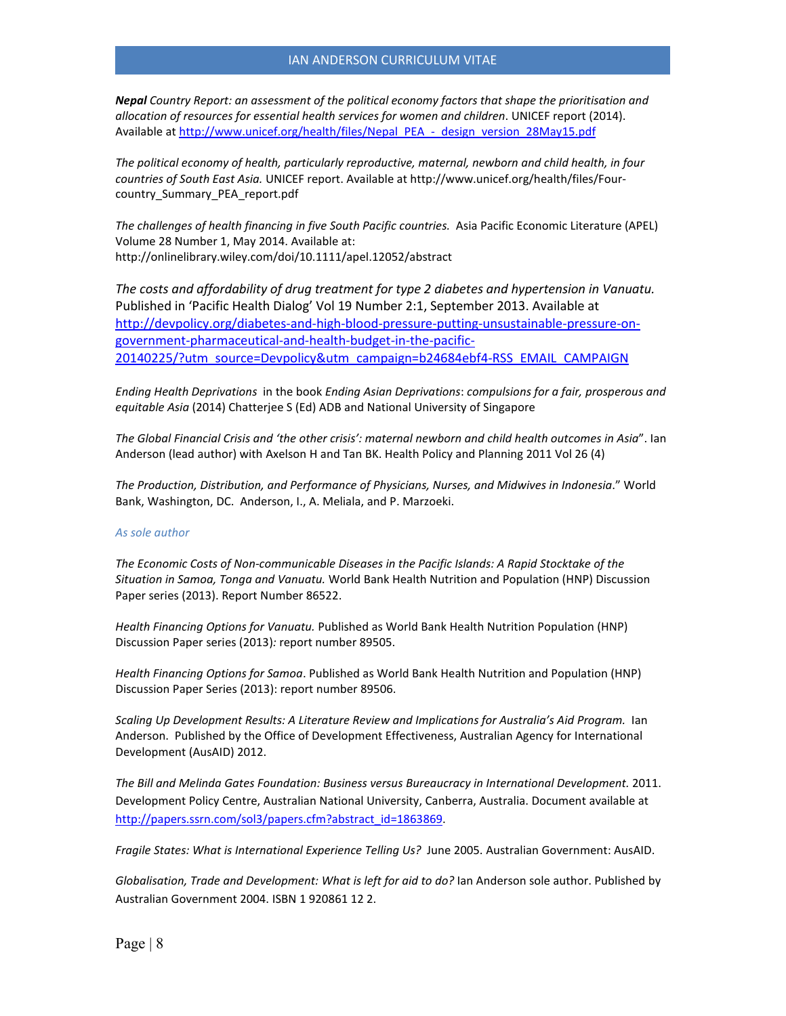*Nepal Country Report: an assessment of the political economy factors that shape the prioritisation and allocation of resources for essential health services for women and children*. UNICEF report (2014). Available a[t http://www.unicef.org/health/files/Nepal\\_PEA\\_-\\_design\\_version\\_28May15.pdf](http://www.unicef.org/health/files/Nepal_PEA_-_design_version_28May15.pdf)

*The political economy of health, particularly reproductive, maternal, newborn and child health, in four countries of South East Asia.* UNICEF report. Available at http://www.unicef.org/health/files/Fourcountry\_Summary\_PEA\_report.pdf

*The challenges of health financing in five South Pacific countries.* Asia Pacific Economic Literature (APEL) Volume 28 Number 1, May 2014. Available at: http://onlinelibrary.wiley.com/doi/10.1111/apel.12052/abstract

*The costs and affordability of drug treatment for type 2 diabetes and hypertension in Vanuatu.*  Published in 'Pacific Health Dialog' Vol 19 Number 2:1, September 2013. Available at [http://devpolicy.org/diabetes-and-high-blood-pressure-putting-unsustainable-pressure-on](http://devpolicy.org/diabetes-and-high-blood-pressure-putting-unsustainable-pressure-on-government-pharmaceutical-and-health-budget-in-the-pacific-20140225/?utm_source=Devpolicy&utm_campaign=b24684ebf4-RSS_EMAIL_CAMPAIGN)[government-pharmaceutical-and-health-budget-in-the-pacific-](http://devpolicy.org/diabetes-and-high-blood-pressure-putting-unsustainable-pressure-on-government-pharmaceutical-and-health-budget-in-the-pacific-20140225/?utm_source=Devpolicy&utm_campaign=b24684ebf4-RSS_EMAIL_CAMPAIGN)[20140225/?utm\\_source=Devpolicy&utm\\_campaign=b24684ebf4-RSS\\_EMAIL\\_CAMPAIGN](http://devpolicy.org/diabetes-and-high-blood-pressure-putting-unsustainable-pressure-on-government-pharmaceutical-and-health-budget-in-the-pacific-20140225/?utm_source=Devpolicy&utm_campaign=b24684ebf4-RSS_EMAIL_CAMPAIGN)

*Ending Health Deprivations* in the book *Ending Asian Deprivations*: *compulsions for a fair, prosperous and equitable Asia* (2014) Chatterjee S (Ed) ADB and National University of Singapore

*The Global Financial Crisis and 'the other crisis': maternal newborn and child health outcomes in Asia*". Ian Anderson (lead author) with Axelson H and Tan BK. Health Policy and Planning 2011 Vol 26 (4)

*The Production, Distribution, and Performance of Physicians, Nurses, and Midwives in Indonesia*." World Bank, Washington, DC. Anderson, I., A. Meliala, and P. Marzoeki.

#### *As sole author*

*The Economic Costs of Non-communicable Diseases in the Pacific Islands: A Rapid Stocktake of the Situation in Samoa, Tonga and Vanuatu.* World Bank Health Nutrition and Population (HNP) Discussion Paper series (2013). Report Number 86522.

*Health Financing Options for Vanuatu.* Published as World Bank Health Nutrition Population (HNP) Discussion Paper series (2013)*:* report number 89505.

*Health Financing Options for Samoa*. Published as World Bank Health Nutrition and Population (HNP) Discussion Paper Series (2013): report number 89506.

Scaling Up Development Results: A Literature Review and Implications for Australia's Aid Program. lan Anderson. Published by the Office of Development Effectiveness, Australian Agency for International Development (AusAID) 2012.

*The Bill and Melinda Gates Foundation: Business versus Bureaucracy in International Development.* 2011. Development Policy Centre, Australian National University, Canberra, Australia. Document available at [http://papers.ssrn.com/sol3/papers.cfm?abstract\\_id=1863869.](http://papers.ssrn.com/sol3/papers.cfm?abstract_id=1863869)

*Fragile States: What is International Experience Telling Us?* June 2005. Australian Government: AusAID.

*Globalisation, Trade and Development: What is left for aid to do?* Ian Anderson sole author. Published by Australian Government 2004. ISBN 1 920861 12 2.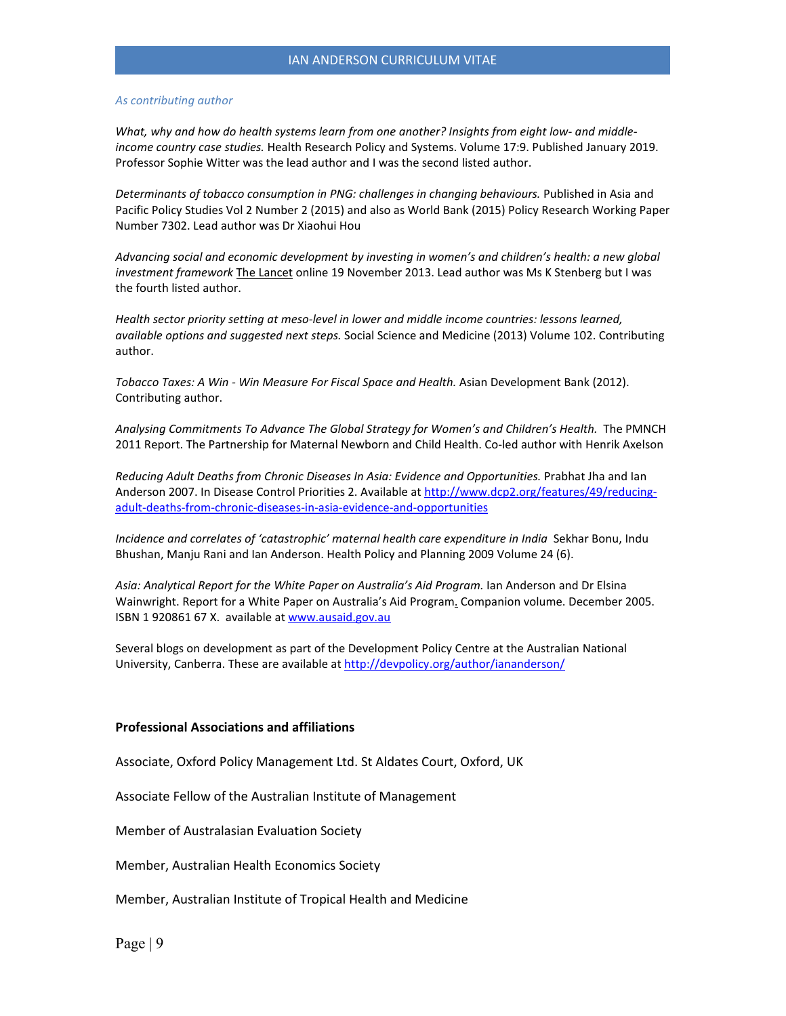#### *As contributing author*

*What, why and how do health systems learn from one another? Insights from eight low- and middleincome country case studies.* Health Research Policy and Systems. Volume 17:9. Published January 2019. Professor Sophie Witter was the lead author and I was the second listed author.

*Determinants of tobacco consumption in PNG: challenges in changing behaviours.* Published in Asia and Pacific Policy Studies Vol 2 Number 2 (2015) and also as World Bank (2015) Policy Research Working Paper Number 7302. Lead author was Dr Xiaohui Hou

*Advancing social and economic development by investing in women's and children's health: a new global investment framework* The Lancet online 19 November 2013. Lead author was Ms K Stenberg but I was the fourth listed author.

*Health sector priority setting at meso-level in lower and middle income countries: lessons learned, available options and suggested next steps.* Social Science and Medicine (2013) Volume 102. Contributing author.

*Tobacco Taxes: A Win - Win Measure For Fiscal Space and Health.* Asian Development Bank (2012). Contributing author.

*Analysing Commitments To Advance The Global Strategy for Women's and Children's Health.* The PMNCH 2011 Report. The Partnership for Maternal Newborn and Child Health. Co-led author with Henrik Axelson

*Reducing Adult Deaths from Chronic Diseases In Asia: Evidence and Opportunities.* Prabhat Jha and Ian Anderson 2007. In Disease Control Priorities 2. Available a[t http://www.dcp2.org/features/49/reducing](http://www.dcp2.org/features/49/reducing-adult-deaths-from-chronic-diseases-in-asia-evidence-and-opportunities)[adult-deaths-from-chronic-diseases-in-asia-evidence-and-opportunities](http://www.dcp2.org/features/49/reducing-adult-deaths-from-chronic-diseases-in-asia-evidence-and-opportunities)

*Incidence and correlates of 'catastrophic' maternal health care expenditure in India Sekhar Bonu, Indu* Bhushan, Manju Rani and Ian Anderson. Health Policy and Planning 2009 Volume 24 (6).

*Asia: Analytical Report for the White Paper on Australia's Aid Program.* Ian Anderson and Dr Elsina Wainwright. Report for a White Paper on Australia's Aid Program. Companion volume. December 2005. ISBN 1 920861 67 X. available a[t www.ausaid.gov.au](http://www.ausaid.gov.au/)

Several blogs on development as part of the Development Policy Centre at the Australian National University, Canberra. These are available a[t http://devpolicy.org/author/iananderson/](http://devpolicy.org/author/iananderson/)

#### **Professional Associations and affiliations**

Associate, Oxford Policy Management Ltd. St Aldates Court, Oxford, UK

Associate Fellow of the Australian Institute of Management

Member of Australasian Evaluation Society

Member, Australian Health Economics Society

Member, Australian Institute of Tropical Health and Medicine

Page | 9